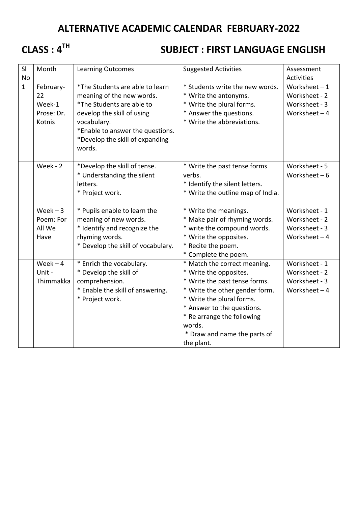## **ALTERNATIVE ACADEMIC CALENDAR FEBRUARY-2022**

# **CLASS : 4TH**

### **SUBJECT : FIRST LANGUAGE ENGLISH**

| SI           | Month      | <b>Learning Outcomes</b>           | <b>Suggested Activities</b>       | Assessment     |
|--------------|------------|------------------------------------|-----------------------------------|----------------|
| <b>No</b>    |            |                                    |                                   | Activities     |
| $\mathbf{1}$ | February-  | *The Students are able to learn    | * Students write the new words.   | Worksheet $-1$ |
|              | 22         | meaning of the new words.          | * Write the antonyms.             | Worksheet - 2  |
|              | Week-1     | *The Students are able to          | * Write the plural forms.         | Worksheet - 3  |
|              | Prose: Dr. | develop the skill of using         | * Answer the questions.           | Worksheet $-4$ |
|              | Kotnis     | vocabulary.                        | * Write the abbreviations.        |                |
|              |            | *Enable to answer the questions.   |                                   |                |
|              |            | *Develop the skill of expanding    |                                   |                |
|              |            | words.                             |                                   |                |
|              |            |                                    |                                   |                |
|              | Week - 2   | *Develop the skill of tense.       | * Write the past tense forms      | Worksheet - 5  |
|              |            | * Understanding the silent         | verbs.                            | Worksheet $-6$ |
|              |            | letters.                           | * Identify the silent letters.    |                |
|              |            | * Project work.                    | * Write the outline map of India. |                |
|              |            |                                    |                                   |                |
|              | Week $-3$  | * Pupils enable to learn the       | * Write the meanings.             | Worksheet - 1  |
|              | Poem: For  | meaning of new words.              | * Make pair of rhyming words.     | Worksheet - 2  |
|              | All We     | * Identify and recognize the       | * write the compound words.       | Worksheet - 3  |
|              | Have       | rhyming words.                     | * Write the opposites.            | Worksheet $-4$ |
|              |            | * Develop the skill of vocabulary. | * Recite the poem.                |                |
|              |            |                                    | * Complete the poem.              |                |
|              | $Week - 4$ | * Enrich the vocabulary.           | * Match the correct meaning.      | Worksheet - 1  |
|              | Unit -     | * Develop the skill of             | * Write the opposites.            | Worksheet - 2  |
|              | Thimmakka  | comprehension.                     | * Write the past tense forms.     | Worksheet - 3  |
|              |            | * Enable the skill of answering.   | * Write the other gender form.    | Worksheet $-4$ |
|              |            | * Project work.                    | * Write the plural forms.         |                |
|              |            |                                    | * Answer to the questions.        |                |
|              |            |                                    | * Re arrange the following        |                |
|              |            |                                    | words.                            |                |
|              |            |                                    | * Draw and name the parts of      |                |
|              |            |                                    | the plant.                        |                |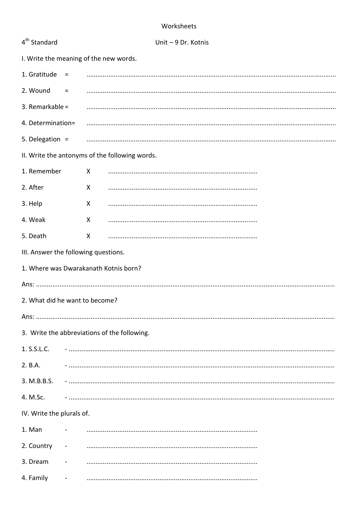#### Worksheets

| 4 <sup>th</sup> Standard               | Unit - 9 Dr. Kotnis                            |  |
|----------------------------------------|------------------------------------------------|--|
| I. Write the meaning of the new words. |                                                |  |
| 1. Gratitude<br>$\equiv$               |                                                |  |
| 2. Wound                               | $=$                                            |  |
| 3. Remarkable =                        |                                                |  |
| 4. Determination=                      |                                                |  |
| 5. Delegation $=$                      |                                                |  |
|                                        | II. Write the antonyms of the following words. |  |
| 1. Remember                            | X                                              |  |
| 2. After                               | X                                              |  |
| 3. Help                                | X                                              |  |
| 4. Weak                                | X                                              |  |
| 5. Death                               | X                                              |  |
|                                        | III. Answer the following questions.           |  |
|                                        | 1. Where was Dwarakanath Kotnis born?          |  |
|                                        |                                                |  |
|                                        | 2. What did he want to become?                 |  |
|                                        |                                                |  |
|                                        | 3. Write the abbreviations of the following.   |  |
| 1. S.S.L.C.                            |                                                |  |
| 2. B.A.                                |                                                |  |
| 3. M.B.B.S.                            |                                                |  |
| 4. M.Sc.                               |                                                |  |
| IV. Write the plurals of.              |                                                |  |
| 1. Man                                 |                                                |  |
| 2. Country                             |                                                |  |
| 3. Dream                               |                                                |  |
| 4. Family                              |                                                |  |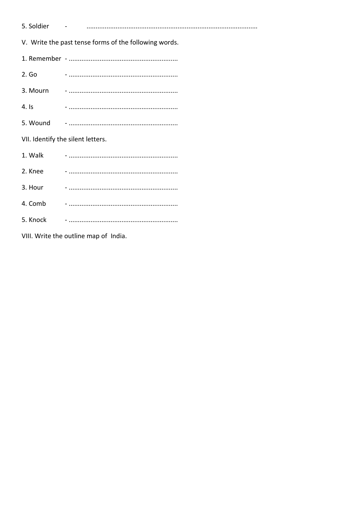| 5. Soldier                                            |  |  |  |
|-------------------------------------------------------|--|--|--|
| V. Write the past tense forms of the following words. |  |  |  |
|                                                       |  |  |  |
| 2.60                                                  |  |  |  |
| 3. Mourn                                              |  |  |  |
| 4. Is                                                 |  |  |  |
| 5. Wound                                              |  |  |  |
| VII. Identify the silent letters.                     |  |  |  |
| 1. Walk                                               |  |  |  |
| 2. Knee                                               |  |  |  |
| 3. Hour                                               |  |  |  |
| 4. Comb                                               |  |  |  |
| 5. Knock                                              |  |  |  |
| VIII. Write the outline map of India.                 |  |  |  |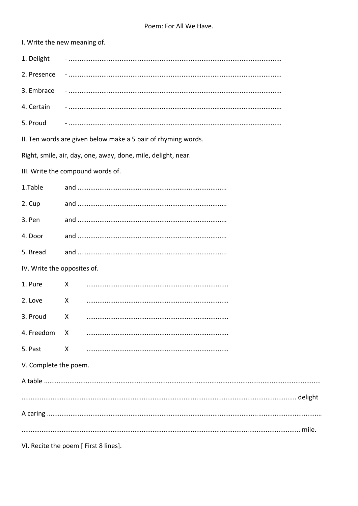#### Poem: For All We Have.

| I. Write the new meaning of.      |   |                                                               |  |  |  |
|-----------------------------------|---|---------------------------------------------------------------|--|--|--|
| 1. Delight                        |   |                                                               |  |  |  |
| 2. Presence                       |   |                                                               |  |  |  |
| 3. Embrace                        |   |                                                               |  |  |  |
| 4. Certain                        |   |                                                               |  |  |  |
| 5. Proud                          |   |                                                               |  |  |  |
|                                   |   | II. Ten words are given below make a 5 pair of rhyming words. |  |  |  |
|                                   |   | Right, smile, air, day, one, away, done, mile, delight, near. |  |  |  |
| III. Write the compound words of. |   |                                                               |  |  |  |
| 1.Table                           |   |                                                               |  |  |  |
| 2. Cup                            |   |                                                               |  |  |  |
| 3. Pen                            |   |                                                               |  |  |  |
| 4. Door                           |   |                                                               |  |  |  |
| 5. Bread                          |   |                                                               |  |  |  |
| IV. Write the opposites of.       |   |                                                               |  |  |  |
| 1. Pure                           | X |                                                               |  |  |  |
| 2. Love                           | X |                                                               |  |  |  |
| 3. Proud                          | X |                                                               |  |  |  |
| 4. Freedom                        | X |                                                               |  |  |  |
| 5. Past                           | X |                                                               |  |  |  |
| V. Complete the poem.             |   |                                                               |  |  |  |
|                                   |   |                                                               |  |  |  |
|                                   |   |                                                               |  |  |  |
|                                   |   |                                                               |  |  |  |
|                                   |   |                                                               |  |  |  |

VI. Recite the poem [ First 8 lines].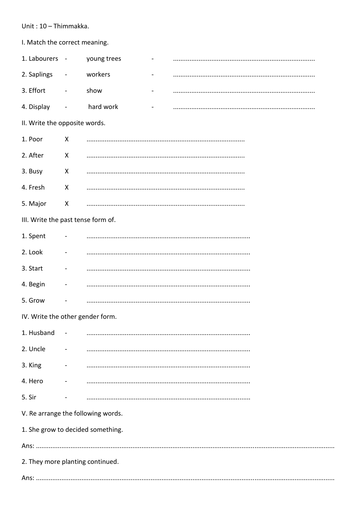#### Unit: 10 - Thimmakka.

| I. Match the correct meaning.      |                                          |                           |  |  |
|------------------------------------|------------------------------------------|---------------------------|--|--|
| 1. Labourers -                     |                                          | young trees               |  |  |
| 2. Saplings                        | $\sim$                                   | workers<br>$\blacksquare$ |  |  |
| 3. Effort                          | $\blacksquare$                           | show                      |  |  |
| 4. Display                         | $\frac{1}{2}$                            | hard work                 |  |  |
| II. Write the opposite words.      |                                          |                           |  |  |
| 1. Poor                            | X                                        |                           |  |  |
| 2. After                           | X                                        |                           |  |  |
| 3. Busy                            | X                                        |                           |  |  |
| 4. Fresh                           | X                                        |                           |  |  |
| 5. Major                           | X                                        |                           |  |  |
| III. Write the past tense form of. |                                          |                           |  |  |
| 1. Spent                           |                                          |                           |  |  |
| 2. Look                            |                                          |                           |  |  |
| 3. Start                           |                                          |                           |  |  |
| 4. Begin                           |                                          |                           |  |  |
| 5. Grow                            |                                          |                           |  |  |
| IV. Write the other gender form.   |                                          |                           |  |  |
| 1. Husband                         | $\blacksquare$                           |                           |  |  |
| 2. Uncle                           | $\sim$                                   |                           |  |  |
| 3. King                            | ۰.                                       |                           |  |  |
| 4. Hero                            | $\frac{1}{2} \left( \frac{1}{2} \right)$ |                           |  |  |
| 5. Sir                             |                                          |                           |  |  |
| V. Re arrange the following words. |                                          |                           |  |  |
| 1. She grow to decided something.  |                                          |                           |  |  |
|                                    |                                          |                           |  |  |
| 2. They more planting continued.   |                                          |                           |  |  |
|                                    |                                          |                           |  |  |